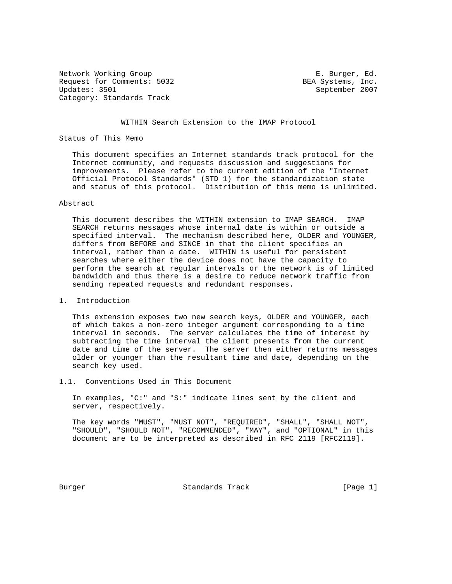Network Working Group **E. Burger, Ed.** Request for Comments: 5032 BEA Systems, Inc.<br>Updates: 3501 BEA September 2007 Category: Standards Track

September 2007

## WITHIN Search Extension to the IMAP Protocol

## Status of This Memo

 This document specifies an Internet standards track protocol for the Internet community, and requests discussion and suggestions for improvements. Please refer to the current edition of the "Internet Official Protocol Standards" (STD 1) for the standardization state and status of this protocol. Distribution of this memo is unlimited.

## Abstract

 This document describes the WITHIN extension to IMAP SEARCH. IMAP SEARCH returns messages whose internal date is within or outside a specified interval. The mechanism described here, OLDER and YOUNGER, differs from BEFORE and SINCE in that the client specifies an interval, rather than a date. WITHIN is useful for persistent searches where either the device does not have the capacity to perform the search at regular intervals or the network is of limited bandwidth and thus there is a desire to reduce network traffic from sending repeated requests and redundant responses.

## 1. Introduction

 This extension exposes two new search keys, OLDER and YOUNGER, each of which takes a non-zero integer argument corresponding to a time interval in seconds. The server calculates the time of interest by subtracting the time interval the client presents from the current date and time of the server. The server then either returns messages older or younger than the resultant time and date, depending on the search key used.

1.1. Conventions Used in This Document

 In examples, "C:" and "S:" indicate lines sent by the client and server, respectively.

 The key words "MUST", "MUST NOT", "REQUIRED", "SHALL", "SHALL NOT", "SHOULD", "SHOULD NOT", "RECOMMENDED", "MAY", and "OPTIONAL" in this document are to be interpreted as described in RFC 2119 [RFC2119].

Burger **Standards Track** [Page 1]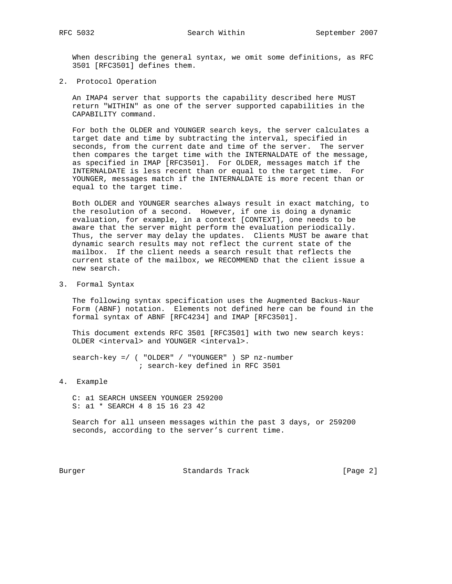When describing the general syntax, we omit some definitions, as RFC 3501 [RFC3501] defines them.

2. Protocol Operation

 An IMAP4 server that supports the capability described here MUST return "WITHIN" as one of the server supported capabilities in the CAPABILITY command.

 For both the OLDER and YOUNGER search keys, the server calculates a target date and time by subtracting the interval, specified in seconds, from the current date and time of the server. The server then compares the target time with the INTERNALDATE of the message, as specified in IMAP [RFC3501]. For OLDER, messages match if the INTERNALDATE is less recent than or equal to the target time. For YOUNGER, messages match if the INTERNALDATE is more recent than or equal to the target time.

 Both OLDER and YOUNGER searches always result in exact matching, to the resolution of a second. However, if one is doing a dynamic evaluation, for example, in a context [CONTEXT], one needs to be aware that the server might perform the evaluation periodically. Thus, the server may delay the updates. Clients MUST be aware that dynamic search results may not reflect the current state of the mailbox. If the client needs a search result that reflects the current state of the mailbox, we RECOMMEND that the client issue a new search.

3. Formal Syntax

 The following syntax specification uses the Augmented Backus-Naur Form (ABNF) notation. Elements not defined here can be found in the formal syntax of ABNF [RFC4234] and IMAP [RFC3501].

 This document extends RFC 3501 [RFC3501] with two new search keys: OLDER <interval> and YOUNGER <interval>.

 search-key =/ ( "OLDER" / "YOUNGER" ) SP nz-number ; search-key defined in RFC 3501

4. Example

 C: a1 SEARCH UNSEEN YOUNGER 259200 S: a1 \* SEARCH 4 8 15 16 23 42

 Search for all unseen messages within the past 3 days, or 259200 seconds, according to the server's current time.

Burger Standards Track [Page 2]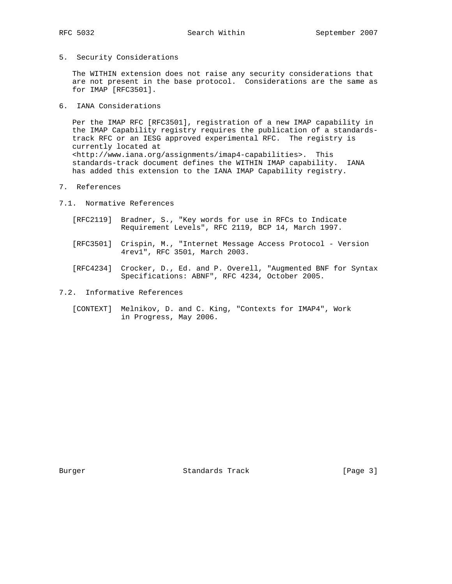5. Security Considerations

 The WITHIN extension does not raise any security considerations that are not present in the base protocol. Considerations are the same as for IMAP [RFC3501].

6. IANA Considerations

 Per the IMAP RFC [RFC3501], registration of a new IMAP capability in the IMAP Capability registry requires the publication of a standards track RFC or an IESG approved experimental RFC. The registry is currently located at <http://www.iana.org/assignments/imap4-capabilities>. This standards-track document defines the WITHIN IMAP capability. IANA has added this extension to the IANA IMAP Capability registry.

7. References

7.1. Normative References

- [RFC2119] Bradner, S., "Key words for use in RFCs to Indicate Requirement Levels", RFC 2119, BCP 14, March 1997.
- [RFC3501] Crispin, M., "Internet Message Access Protocol Version 4rev1", RFC 3501, March 2003.
- [RFC4234] Crocker, D., Ed. and P. Overell, "Augmented BNF for Syntax Specifications: ABNF", RFC 4234, October 2005.
- 7.2. Informative References
	- [CONTEXT] Melnikov, D. and C. King, "Contexts for IMAP4", Work in Progress, May 2006.

Burger Standards Track [Page 3]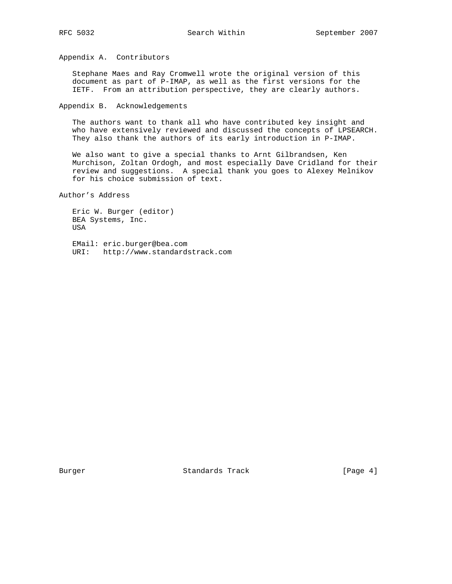Appendix A. Contributors

 Stephane Maes and Ray Cromwell wrote the original version of this document as part of P-IMAP, as well as the first versions for the IETF. From an attribution perspective, they are clearly authors.

Appendix B. Acknowledgements

 The authors want to thank all who have contributed key insight and who have extensively reviewed and discussed the concepts of LPSEARCH. They also thank the authors of its early introduction in P-IMAP.

 We also want to give a special thanks to Arnt Gilbrandsen, Ken Murchison, Zoltan Ordogh, and most especially Dave Cridland for their review and suggestions. A special thank you goes to Alexey Melnikov for his choice submission of text.

Author's Address

```
 Eric W. Burger (editor)
BEA Systems, Inc.
USA
```
 EMail: eric.burger@bea.com URI: http://www.standardstrack.com

Burger Standards Track [Page 4]